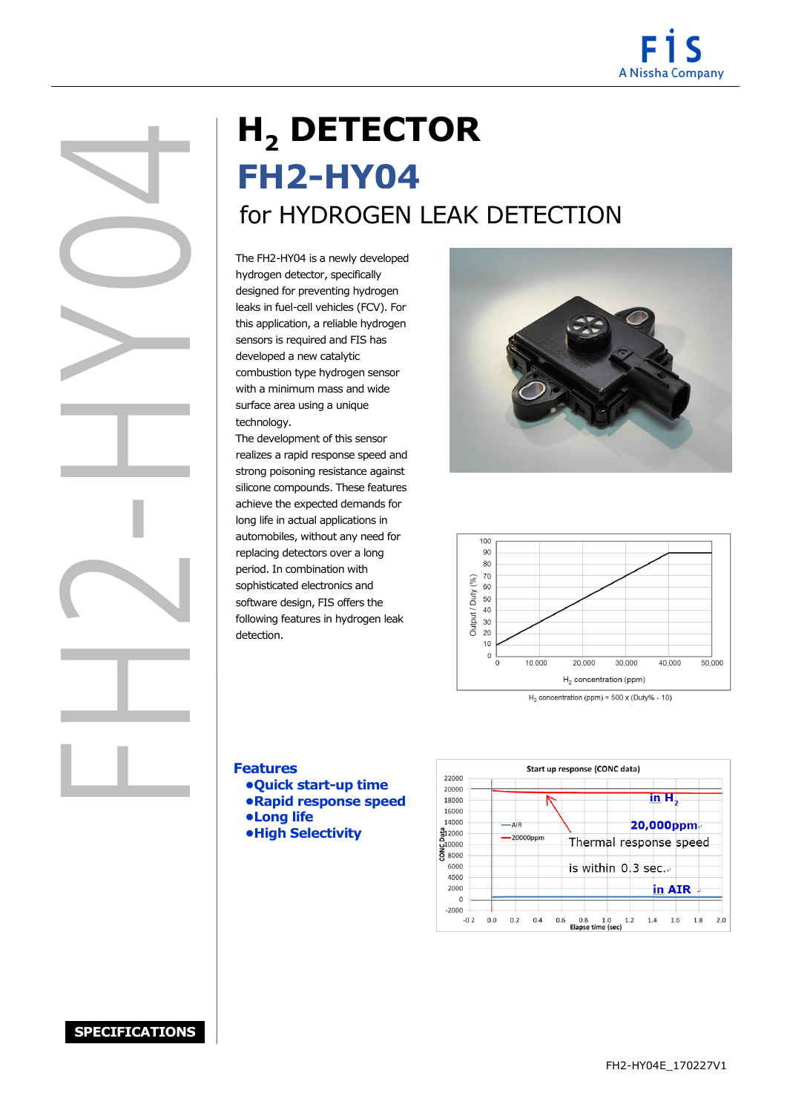

# **H<sup>2</sup> DETECTOR FH2-HY04** for HYDROGEN LEAK DETECTION

**EMPLE SERVICES**<br>
The FH2-<br>
hydroger<br>
designed<br>
leaks in f<br>
this appli<br>
sensors is<br>
develope<br>
combusti<br>
with a m<br>
surface a<br>
technolog<br>
The deve<br>
realizes a<br>
strong pc<br>
silicone c<br>
achieve t<br>
long life The FH2-HY04 is a newly developed designed for preventing hydrogen hydrogen detector, specifically leaks in fuel-cell vehicles (FCV). For this application, a reliable hydrogen sensors is required and FIS has developed a new catalytic combustion type hydrogen sensor with a minimum mass and wide surface area using a unique technology.

 detection. The development of this sensor realizes a rapid response speed and strong poisoning resistance against silicone compounds. These features achieve the expected demands for long life in actual applications in automobiles, without any need for replacing detectors over a long period. In combination with sophisticated electronics and software design, FIS offers the following features in hydrogen leak



 $H_2$  concentration (ppm) = 500 x (Duty% - 10)



Features **Features**

- **•Quick start-up time**
- **•Rapid response speed**
- **•Long life**
	- **•High Selectivity**



 $\sim$